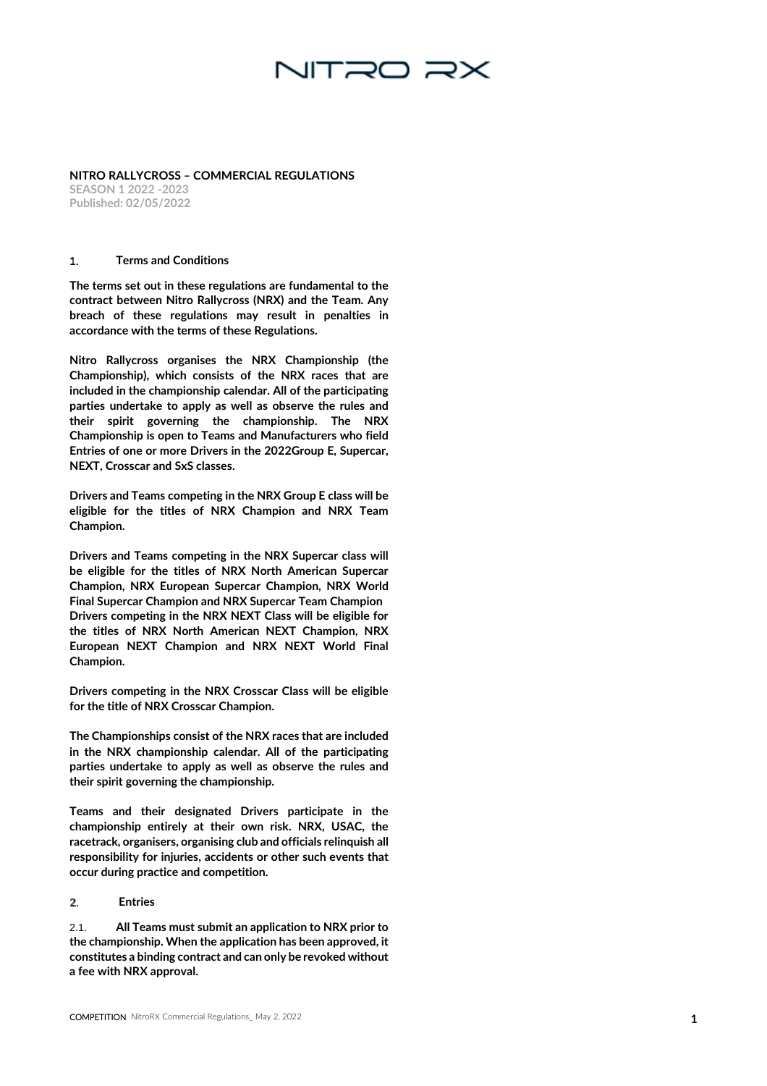# NITRO RX

### **NITRO RALLYCROSS – COMMERCIAL REGULATIONS**

**SEASON 1 2022 -2023 Published: 02/0 5/2022**

#### **Terms and Conditions**   $\mathbf{1}$ .

The terms set out in these regulations are fundamental to the contract between Nitro Rallycross (NRX) and the Team. Any breach of these regulations may result in penalties in accordance with the terms of these Regulations.

**1** Nitro Rallycross organises the NRX Championship (the Championship), which consists of the NRX races that are included in the championship calendar. All of the participating parties undertake to apply as well as observe the rules and their spirit governing the championship. The NRX Championship is open to Teams and Manufacturers who field Entries of one or more Drivers in the 2022Group E, Supercar, NEXT, Crosscar and SxS classes.

Drivers and Teams competing in the NRX Group E class will be eligible for the titles of NRX Champion and NRX Team Champion.

Drivers and Teams competing in the NRX Supercar class will be eligible for the titles of NRX North American Supercar Champion, NRX European Supercar Champion, NRX World Final Supercar Champion and NRX Supercar Team Champion Drivers competing in the NRX NEXT Class will be eligible for the titles of NRX North American NEXT Champion, NRX European NEXT Champion and NRX NEXT World Final Champion.

Drivers competing in the NRX Crosscar Class will be eligible for the title of NRX Crosscar Champion.

The Championships consist of the NRX races that are included in the NRX championship calendar. All of the participating parties undertake to apply as well as observe the rules and their spirit governing the championship.

Teams and their designated Drivers participate in the championship entirely at their own risk. NRX, USAC, the racetrack, organisers, organising club and officials relinquish all responsibility for injuries, accidents or other such events that occur during practice and competition.

#### $2.$ **Entries**

2.1. All Teams must submit an application to NRX prior to the championship. When the application has been approved, it constitutes a binding contract and can only be revoked without a fee with NRX approval.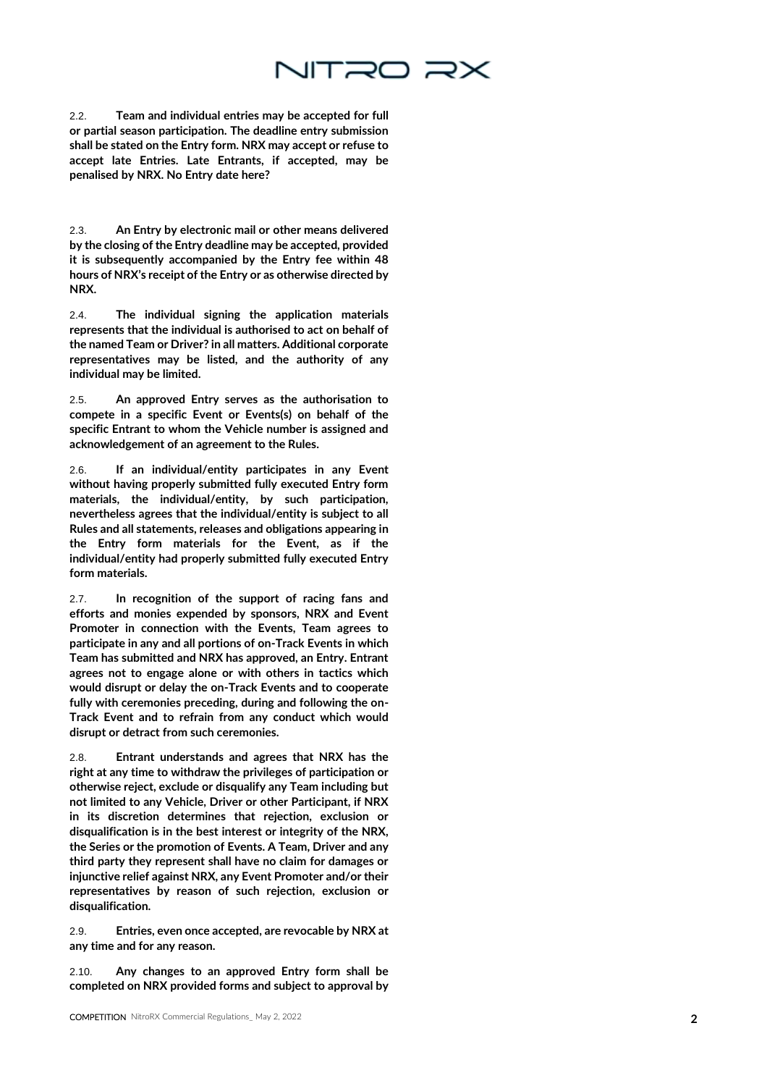# NITRO RX

2.2. Team and individual entries may be accepted for full or partial season participation. The deadline entry submission shall be stated on the Entry form. NRX may accept or refuse to accept late Entries. Late Entrants, if accepted, may be penalised by NRX. No Entry date here?

2.3. An Entry by electronic mail or other means delivered by the closing of the Entry deadline may be accepted, provided it is subsequently accompanied by the Entry fee within 48 hours of NRX's receipt of the Entry or as otherwise directed by NRX.

2.4. The individual signing the application materials represents that the individual is authorised to act on behalf of the named Team or Driver? in all matters. Additional corporate representatives may be listed, and the authority of any individual may be limited.

2.5. An approved Entry serves as the authorisation to compete in a specific Event or Events(s) on behalf of the specific Entrant to whom the Vehicle number is assigned and acknowledgement of an agreement to the Rules.

2.6. If an individual/entity participates in any Event without having properly submitted fully executed Entry form materials, the individual/entity, by such participation, nevertheless agrees that the individual/entity is subject to all Rules and all statements, releases and obligations appearing in the Entry form materials for the Event, as if the individual/entity had properly submitted fully executed Entry form materials.

2.7. In recognition of the support of racing fans and efforts and monies expended by sponsors, NRX and Event Promoter in connection with the Events, Team agrees to participate in any and all portions of on -Track Events in which Team has submitted and NRX has approved, an Entry. Entrant agrees not to engage alone or with others in tactics which would disrupt or delay the on -Track Events and to cooperate fully with ceremonies preceding, during and following the on - Track Event and to refrain from any conduct which would disrupt or detract from such ceremonies.

2.8. Entrant understands and agrees that NRX has the right at any time to withdraw the privileges of participation or otherwise reject, exclude or disqualify any Team including but not limited to any Vehicle, Driver or other Participant, if NRX in its discretion determines that rejection, exclusion or disqualification is in the best interest or integrity of the NRX, the Series or the promotion of Events. A Team, Driver and any third party they represent shall have no claim for damages or injunctive relief against NRX, any Event Promoter and/or their representatives by reason of such rejection, exclusion or disqualification.

2.9. Entries, even once accepted, are revocable by NRX at any time and for any reason.

2.10. Any changes to an approved Entry form shall be completed on NRX provided forms and subject to approval by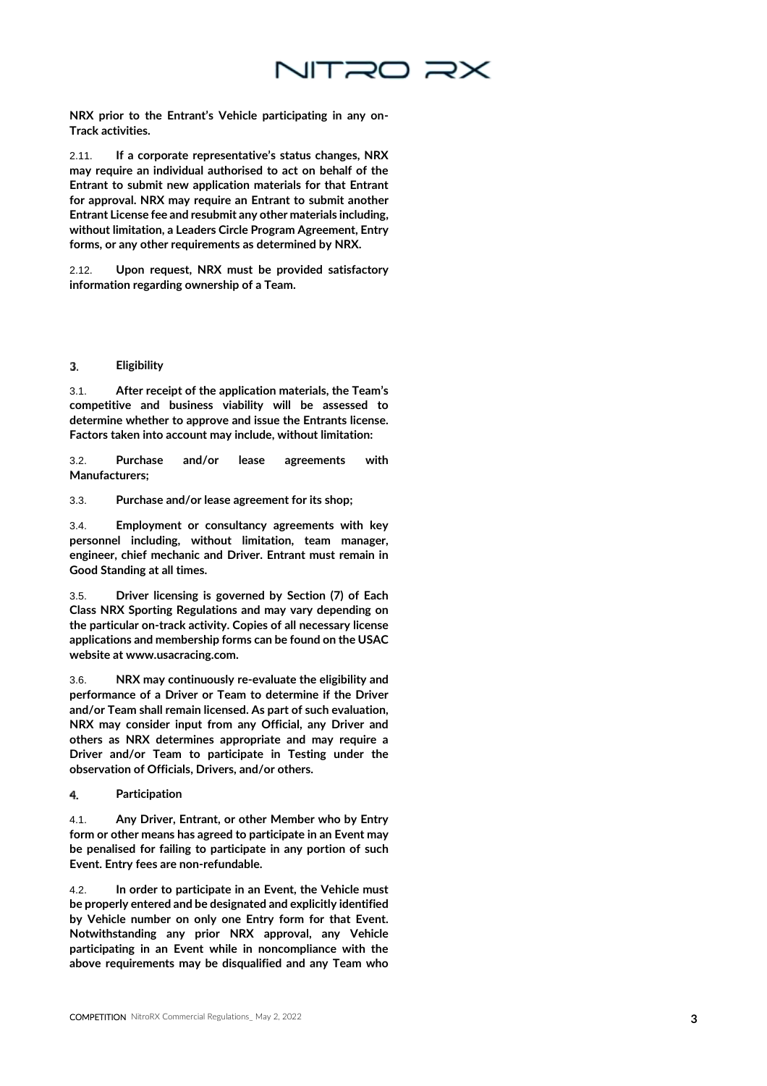

NRX prior to the Entrant's Vehicle participating in any on - Track activities.

2.11. If a corporate representative's status changes, NRX may require an individual authorised to act on behalf of the Entrant to submit new application materials for that Entrant for approval. NRX may require an Entrant to submit another Entrant License fee and resubmit any other materials including, without limitation, a Leaders Circle Program Agreement, Entry forms, or any other requirements as determined by NRX.

2.12. Upon request, NRX must be provided satisfactory information regarding ownership of a Team.

#### 3. **Eligibility**

3.1. After receipt of the application materials, the Team's competitive and business viability will be assessed to determine whether to approve and issue the Entrants license. Factors taken into account may include, without limitation:

3.2. Purchase and/or lease agreements with Manufacturers;

3.3. Purchase and/or lease agreement for its shop;

3.4. Employment or consultancy agreements with key personnel including, without limitation, team manager, engineer, chief mechanic and Driver. Entrant must remain in Good Standing at all times.

3.5. Driver licensing is governed by Section (7) of Each Class NRX Sporting Regulations and may vary depending on the particular on -track activity. Copies of all necessary license applications and membership forms can be found on the USAC website at www.usacracing.com.

3.6. NRX may continuously re -evaluate the eligibility and performance of a Driver or Team to determine if the Driver and/or Team shall remain licensed. As part of such evaluation, NRX may consider input from any Official, any Driver and others as NRX determines appropriate and may require a Driver and/or Team to participate in Testing under the observation of Officials, Drivers, and/or others.

4. **Participation**

4.1. Any Driver, Entrant, or other Member who by Entry form or other means has agreed to participate in an Event may be penalised for failing to participate in any portion of such Event. Entry fees are non -refundable.

4.2. In order to participate in an Event, the Vehicle must be properly entered and be designated and explicitly identified by Vehicle number on only one Entry form for that Event. Notwithstanding any prior NRX approval, any Vehicle participating in an Event while in noncompliance with the above requirements may be disqualified and any Team who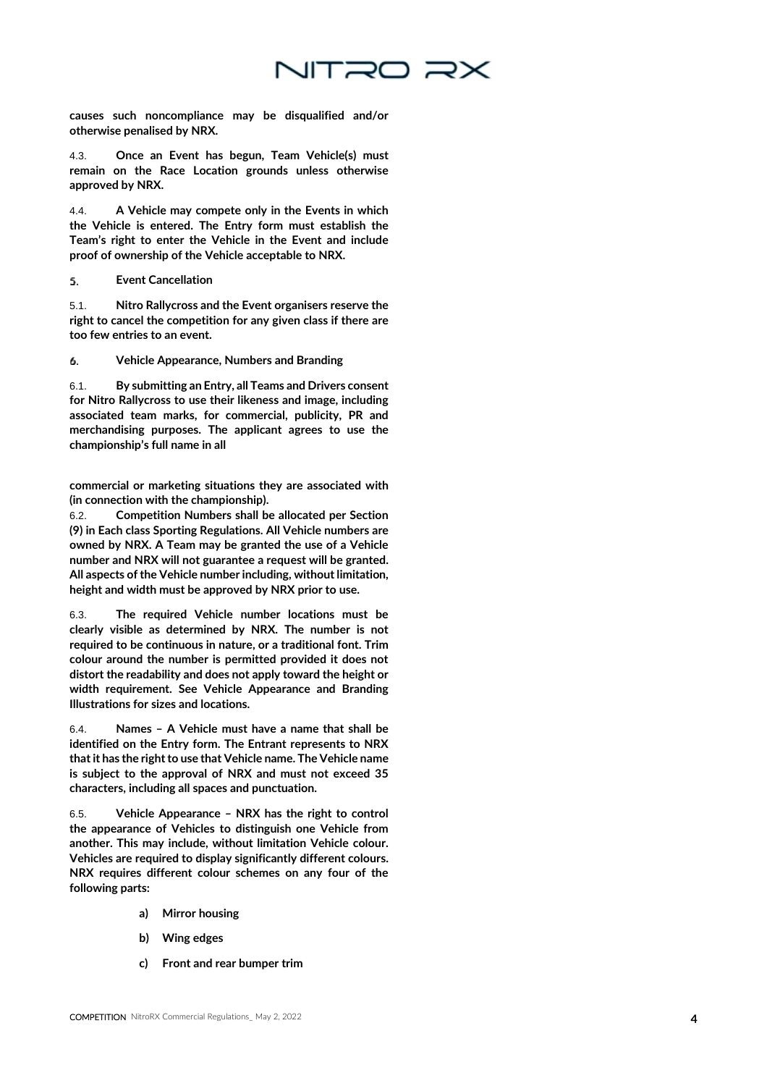

causes such noncompliance may be disqualified and/or otherwise penalised by NRX.

4.3. Once an Event has begun, Team Vehicle(s) must remain on the Race Location grounds unless otherwise approved by NRX.

4.4. A Vehicle may compete only in the Events in which the Vehicle is entered. The Entry form must establish the Team's right to enter the Vehicle in the Event and include proof of ownership of the Vehicle acceptable to NRX.

#### 5. **Event Cancellation**

5.1. Nitro Rallycross and the Event organisers reserve the right to cancel the competition for any given class if there are too few entries to an event.

6. **Vehicle Appearance, Numbers and Branding**

6.1. By submitting an Entry, all Teams and Drivers consent for Nitro Rallycross to use their likeness and image, including associated team marks, for commercial, publicity, PR and merchandising purposes. The applicant agrees to use the championship's full name in all

commercial or marketing situations they are associated with (in connection with the championship).

6.2. Competition Numbers shall be allocated per Section (9) in Each class Sporting Regulations. All Vehicle numbers are owned by NRX. A Team may be granted the use of a Vehicle number and NRX will not guarantee a request will be granted. All aspects of the Vehicle number including, without limitation, height and width must be approved by NRX prior to use.

6.3. The required Vehicle number locations must be clearly visible as determined by NRX. The number is not required to be continuous in nature, or a traditional font. Trim colour around the number is permitted provided it does not distort the readability and does not apply toward the height or width requirement. See Vehicle Appearance and Branding Illustrations for sizes and locations.

6.4. Names – A Vehicle must have a name that shall be identified on the Entry form. The Entrant represents to NRX that it has the right to use that Vehicle name. The Vehicle name is subject to the approval of NRX and must not exceed 35 characters, including all spaces and punctuation.

6.5. Vehicle Appearance – NRX has the right to control the appearance of Vehicles to distinguish one Vehicle from another. This may include, without limitation Vehicle colour. Vehicles are required to display significantly different colours. NRX requires different colour schemes on any four of the following parts:

- a) Mirror housing
- b) Wing edges
- c) Front and rear bumper trim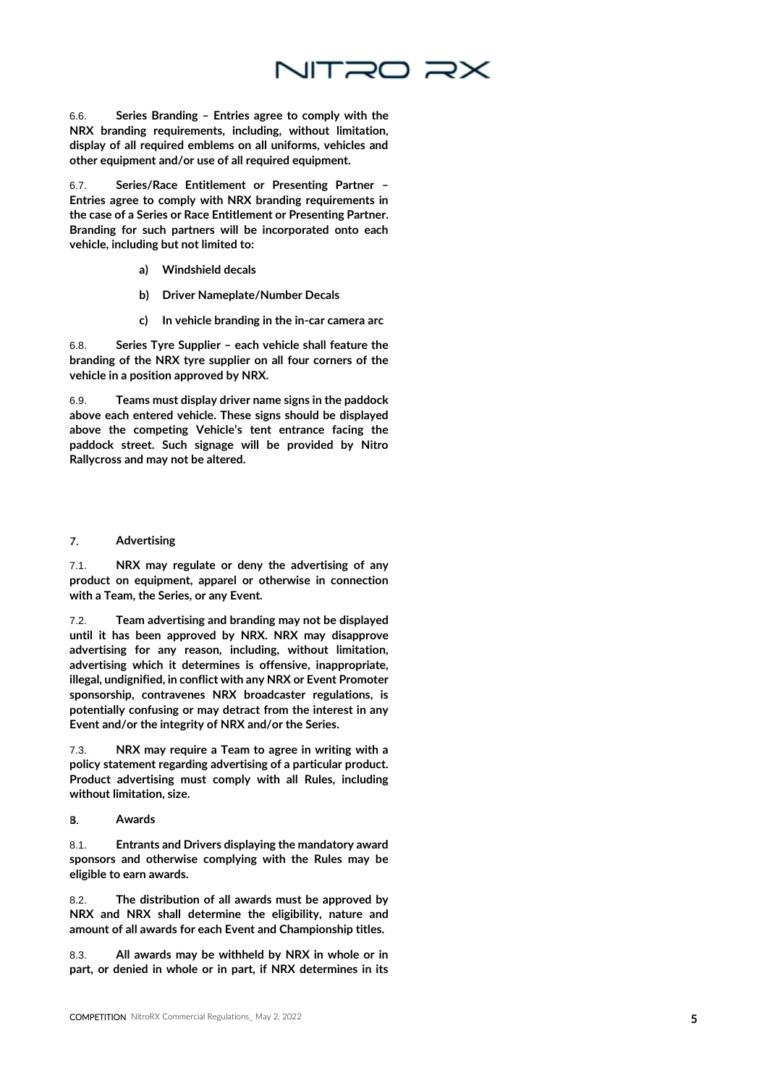

6.6. Series Branding – Entries agree to comply with the NRX branding requirements, including, without limitation, display of all required emblems on all uniforms, vehicles and other equipment and/or use of all required equipment.

6.7. Series/Race Entitlement or Presenting Partner – Entries agree to comply with NRX branding requirements in the case of a Series or Race Entitlement or Presenting Partner. Branding for such partners will be incorporated onto each vehicle, including but not limited to:

- a) Windshield decals
- b) Driver Nameplate/Number Decals
- c) In vehicle branding in the in -car camera arc

6.8. Series Tyre Supplier – each vehicle shall feature the branding of the NRX tyre supplier on all four corners of the vehicle in a position approved by NRX.

6.9. Teams must display driver name signs in the paddock above each entered vehicle. These signs should be displayed above the competing Vehicle's tent entrance facing the paddock street. Such signage will be provided by Nitro Rallycross and may not be altered.

#### 7. **Advertising**

7.1. NRX may regulate or deny the advertising of any product on equipment, apparel or otherwise in connection with a Team, the Series, or any Event.

7.2. Team advertising and branding may not be displayed until it has been approved by NRX. NRX may disapprove advertising for any reason, including, without limitation, advertising which it determines is offensive, inappropriate, illegal, undignified, in conflict with any NRX or Event Promoter sponsorship, contravenes NRX broadcaster regulations, is potentially confusing or may detract from the interest in any Event and/or the integrity of NRX and/or the Series.

7.3. NRX may require a Team to agree in writing with a policy statement regarding advertising of a particular product. Product advertising must comply with all Rules, including without limitation, size.

R. **Awards** 

8.1. Entrants and Drivers displaying the mandatory award sponsors and otherwise complying with the Rules may be eligible to earn awards.

8.2. The distribution of all awards must be approved by NRX and NRX shall determine the eligibility, nature and amount of all awards for each Event and Championship titles.

8.3. All awards may be withheld by NRX in whole or in part, or denied in whole or in part, if NRX determines in its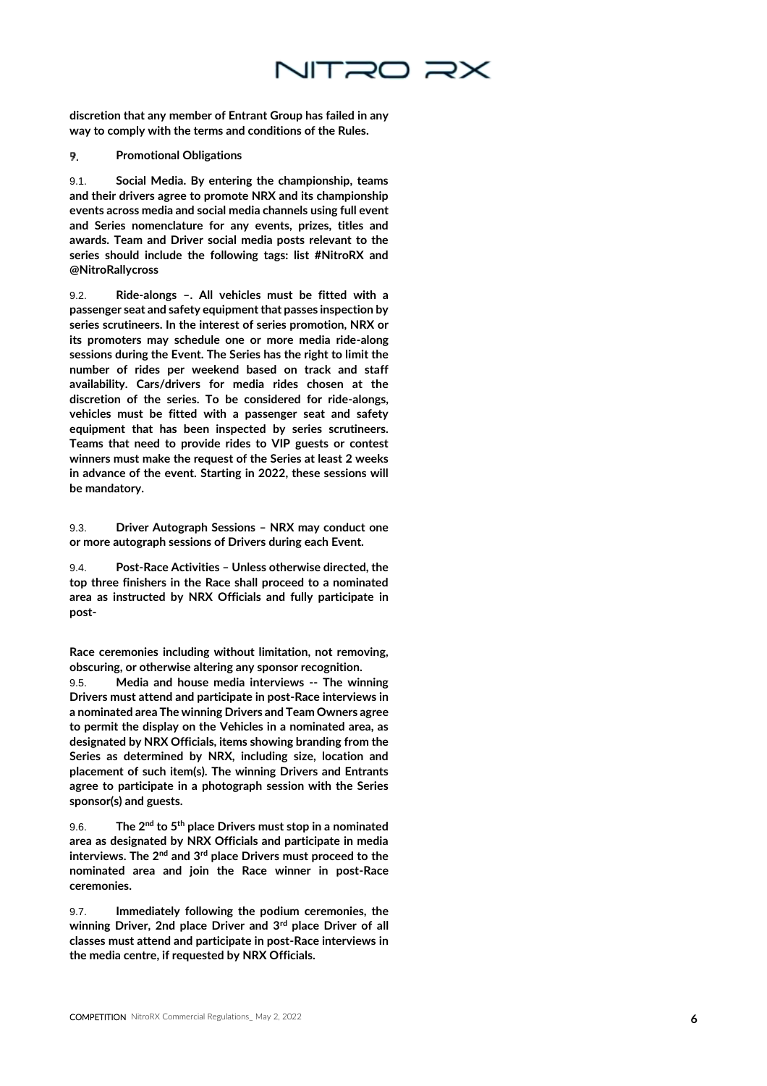

discretion that any member of Entrant Group has failed in any way to comply with the terms and conditions of the Rules.

#### **Promotional Obligations** 9.

9.1. Social Media. By entering the championship, teams and their drivers agree to promote NRX and its championship events across media and social media channels using full event and Series nomenclature for any events, prizes, titles and awards. Team and Driver social media posts relevant to the series should include the following tags: list #NitroRX and @NitroRallycross

9.2. Ride -alongs –. All vehicles must be fitted with a passenger seat and safety equipment that passes inspection by series scrutineers. In the interest of series promotion, NRX or its promoters may schedule one or more media ride -along sessions during the Event. The Series has the right to limit the number of rides per weekend based on track and staff availability. Cars/drivers for media rides chosen at the discretion of the series. To be considered for ride -alongs, vehicles must be fitted with a passenger seat and safety equipment that has been inspected by series scrutineers. Teams that need to provide rides to VIP guests or contest winners must make the request of the Series at least 2 weeks in advance of the event. Starting in 2022, these sessions will be mandatory.

9.3. Driver Autograph Sessions – NRX may conduct one or more autograph sessions of Drivers during each Event.

9.4. Post -Race Activities – Unless otherwise directed, the top three finishers in the Race shall proceed to a nominated area as instructed by NRX Officials and fully participate in post -

Race ceremonies including without limitation, not removing, obscuring, or otherwise altering any sponsor recognition.

9.5. Media and house media interviews -- The winning Drivers must attend and participate in post -Race interviews in a nominated area The winning Drivers and Team Owners agree to permit the display on the Vehicles in a nominated area, as designated by NRX Officials, items showing branding from the Series as determined by NRX, including size, location and placement of such item(s). The winning Drivers and Entrants agree to participate in a photograph session with the Series sponsor(s) and guests.

 $9.6.$  The  $2^{\text{nd}}$  to  $5^{\text{th}}$  place Drivers must stop in a nominated area as designated by NRX Officials and participate in media interviews. The  $2^{nd}$  and  $3^{rd}$  place Drivers must proceed to the nominated area and join the Race winner in post -Race ceremonies.

9.7. Immediately following the podium ceremonies, the winning Driver, 2nd place Driver and 3<sup>rd</sup> place Driver of all classes must attend and participate in post -Race interviews in the media centre, if requested by NRX Officials.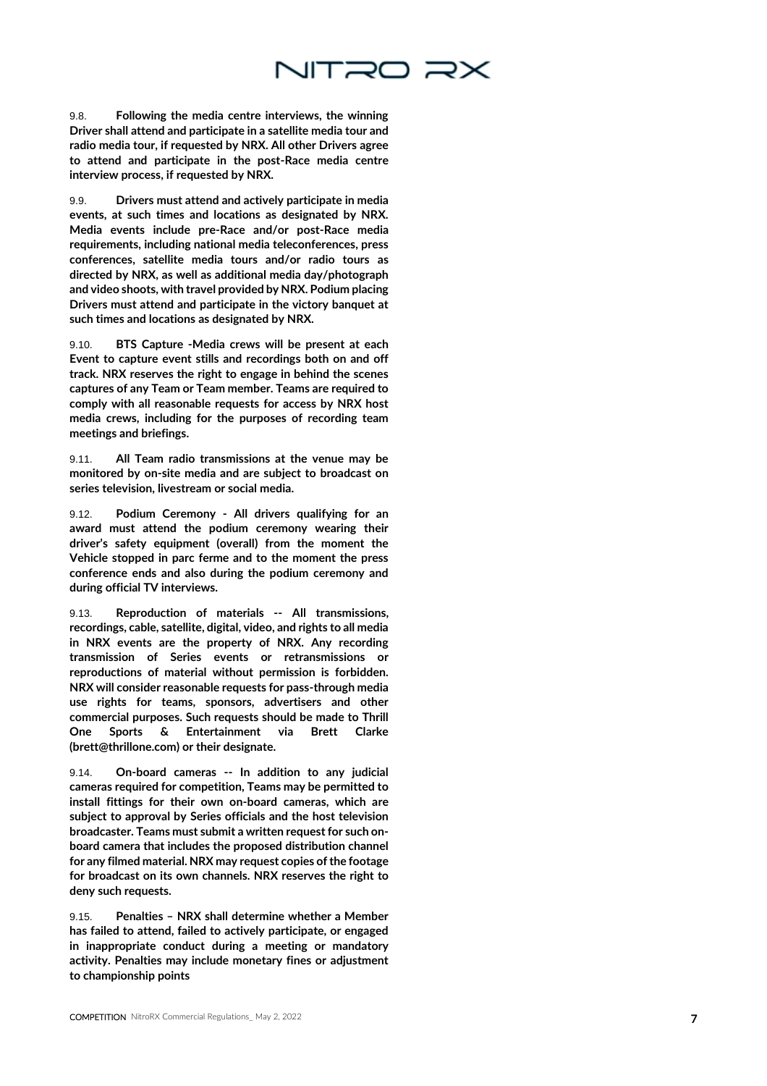

9.8. Following the media centre interviews, the winning Driver shall attend and participate in a satellite media tour and radio media tour, if requested by NRX. All other Drivers agree to attend and participate in the post -Race media centre interview process, if requested by NRX.

9.9. Drivers must attend and actively participate in media events, at such times and locations as designated by NRX. Media events include pre -Race and/or post -Race media requirements, including national media teleconferences, press conferences, satellite media tours and/or radio tours as directed by NRX, as well as additional media day/photograph and video shoots, with travel provided by NRX. Podium placing Drivers must attend and participate in the victory banquet at such times and locations as designated by NRX.

9.10. BTS Capture -Media crews will be present at each Event to capture event stills and recordings both on and off track. NRX reserves the right to engage in behind the scenes captures of any Team or Team member. Teams are required to comply with all reasonable requests for access by NRX host media crews, including for the purposes of recording team meetings and briefings.

9.11. All Team radio transmissions at the venue may be monitored by on -site media and are subject to broadcast on series television, livestream or social media.

9.12. Podium Ceremony - All drivers qualifying for an award must attend the podium ceremony wearing their driver's safety equipment (overall) from the moment the Vehicle stopped in parc ferme and to the moment the press conference ends and also during the podium ceremony and during official TV interviews.

9.13. Reproduction of materials -- All transmissions, recordings, cable, satellite, digital, video, and rights to all media in NRX events are the property of NRX. Any recording transmission of Series events or retransmissions or reproductions of material without permission is forbidden. NRX will consider reasonable requests for pass -through media use rights for teams, sponsors, advertisers and other commercial purposes. Such requests should be made to Thrill One Sports & Entertainment via Brett Clarke (brett@thrillone.com) or their designate.

 $9.14.$ On-board cameras -- In addition to any judicial cameras required for competition, Teams may be permitted to install fittings for their own o n -board cameras, which are subject to approval by Series officials and the host television broadcaster. Teams must submit a written request for such on board camera that includes the proposed distribution channel for any filmed material. NRX may request copies of the footage for broadcast on its own channels. NRX reserves the right to deny such requests.

9.15. Penalties – NRX shall determine whether a Member has failed to attend, failed to actively participate, or engaged in inappropriate conduct during a meeting or mandatory activity. Penalties may include monetary fines or adjustment to championship points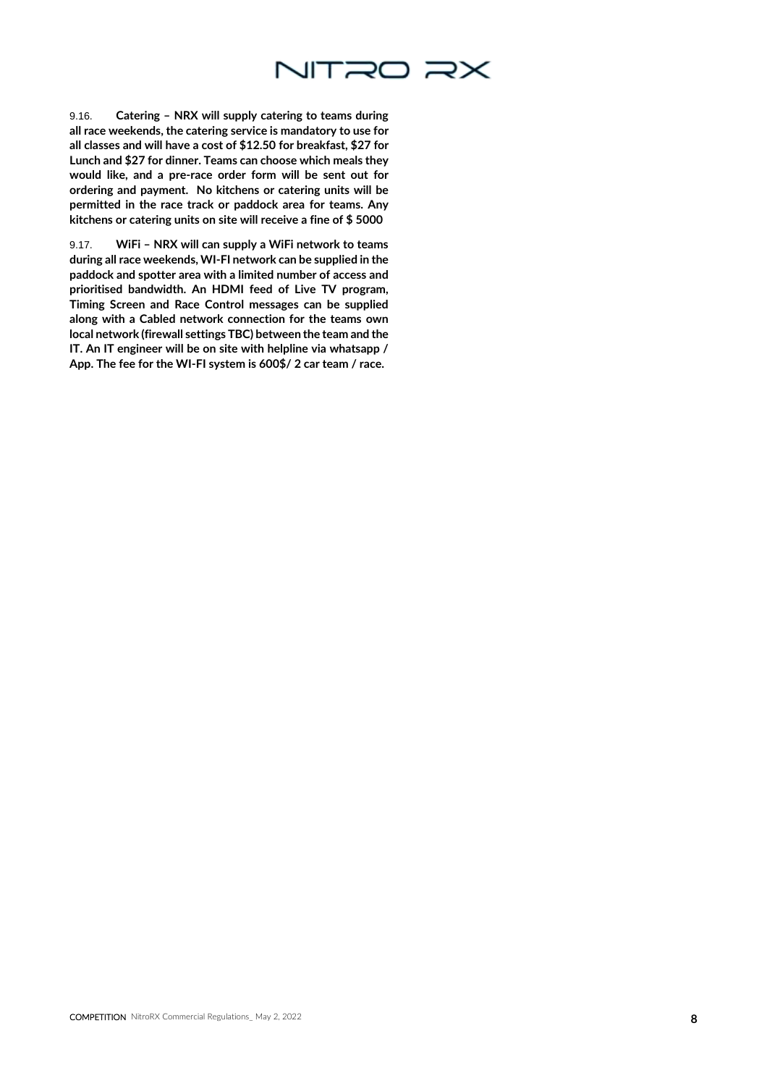

9.16. Catering – NRX will supply catering to teams during all race weekends, the catering service is mandatory to use for all classes and will have a cost of \$12.50 for breakfast, \$27 for Lunch and \$27 for dinner. Teams can choose which meals they would like, and a pre-race order form will be sent out for ordering and payment. No kitchens or catering units will be permitted in the race track or paddock area for teams. Any kitchens or catering units on site will receive a fine of \$ 5000

9.17. WiFi – NRX will can supply a WiFi network to teams during all race weekends, WI-FI network can be supplied in the paddock and spotter area with a limited number of access and prioritised bandwidth. An HDMI feed of Live TV program, Timing Screen and Race Control messages can be supplied along with a Cabled network connection for the teams own local network (firewall settings TBC) between the team and the IT. An IT engineer will be on site with helpline via whatsapp / App. The fee for the WI-FI system is 600\$/ 2 car team / race.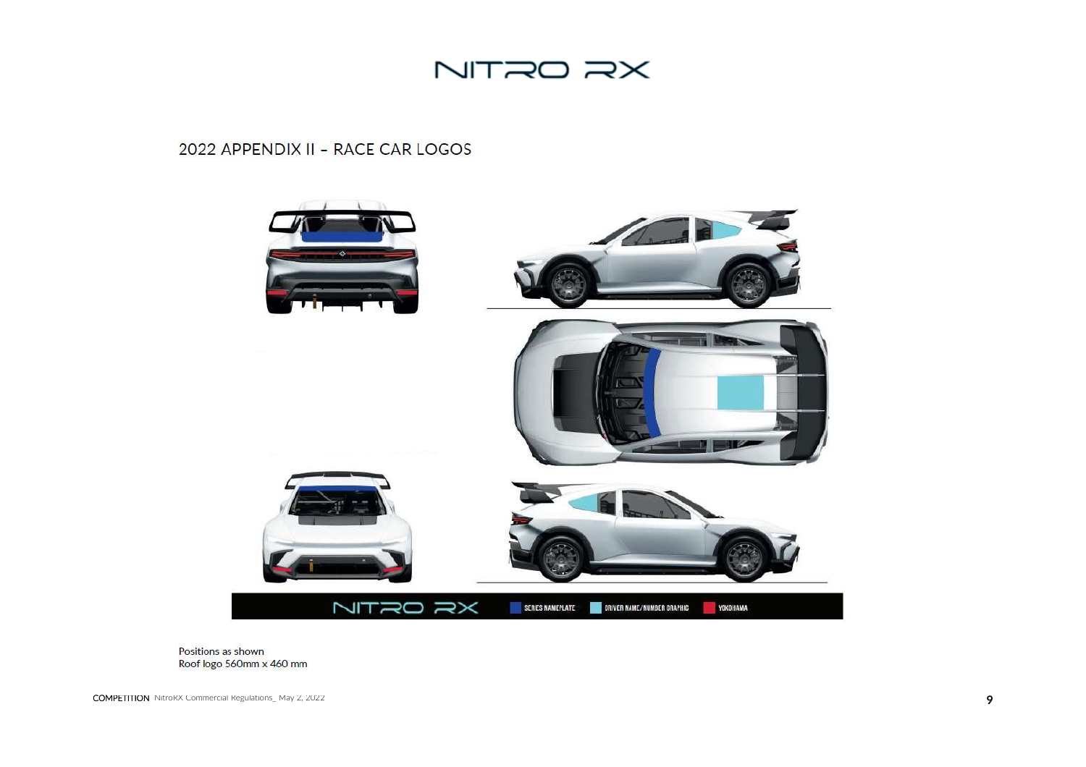

### 2022 APPENDIX II - RACE CAR LOGOS



Positions as shown Roof logo 560mm x 460 mm

COMPETITION NitroRX Commercial Regulations\_ May 2, 2022 **9**